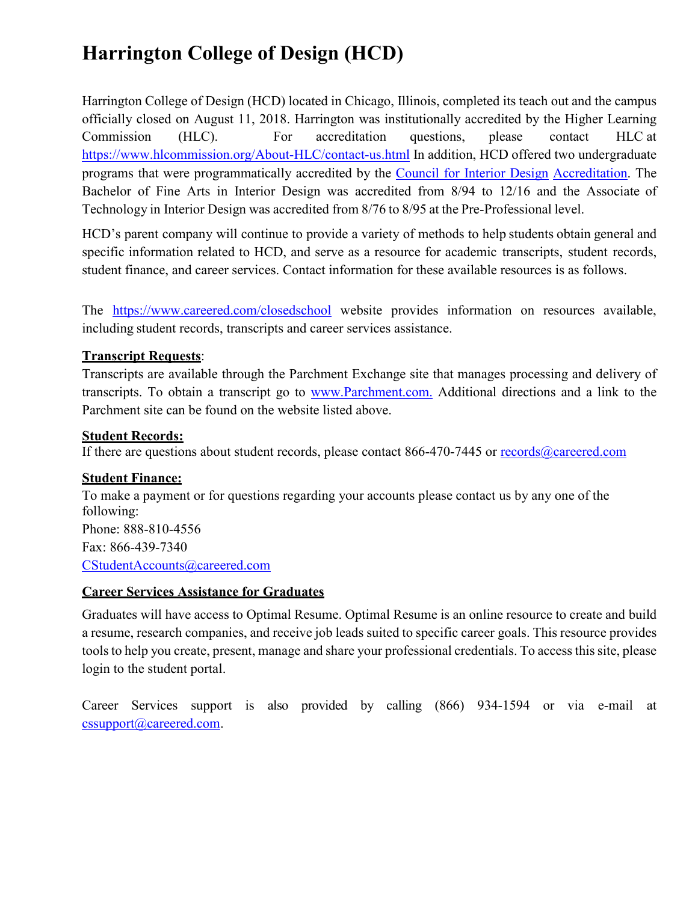# **Harrington College of Design (HCD)**

Harrington College of Design (HCD) located in Chicago, Illinois, completed its teach out and the campus officially closed on August 11, 2018. Harrington was institutionally accredited by the Higher Learning Commission (HLC). For accreditation questions, please contact HLC at <https://www.hlcommission.org/About-HLC/contact-us.html> In addition, HCD offered two undergraduate programs that were programmatically accredited by the [Council for Interior Design](https://accredit-id.org/) [Accreditation.](https://accredit-id.org/) The Bachelor of Fine Arts in Interior Design was accredited from 8/94 to 12/16 and the Associate of Technology in Interior Design was accredited from 8/76 to 8/95 at the Pre-Professional level.

HCD's parent company will continue to provide a variety of methods to help students obtain general and specific information related to HCD, and serve as a resource for academic transcripts, student records, student finance, and career services. Contact information for these available resources is as follows.

The <https://www.careered.com/closedschool> website provides information on resources available, including student records, transcripts and career services assistance.

# **Transcript Requests**:

Transcripts are available through the Parchment Exchange site that manages processing and delivery of transcripts. To obtain a transcript go to [www.Parchment.com.](http://www.parchment.com./) Additional directions and a link to the Parchment site can be found on the website listed above.

#### **Student Records:**

If there are questions about student records, please contact 866-470-7445 or [records@careered.com](mailto:records@careered.com)

#### **Student Finance:**

To make a payment or for questions regarding your accounts please contact us by any one of the following: Phone: 888-810-4556 Fax: 866-439-7340 [CStudentAccounts@careered.com](mailto:CStudentAccounts@careered.com)

#### **Career Services Assistance for Graduates**

Graduates will have access to Optimal Resume. Optimal Resume is an online resource to create and build a resume, research companies, and receive job leads suited to specific career goals. This resource provides tools to help you create, present, manage and share your professional credentials. To access this site, please login to the student portal.

Career Services support is also provided by calling (866) 934-1594 or via e-mail at [cssupport@careered.com.](mailto:cssupport@careered.com)